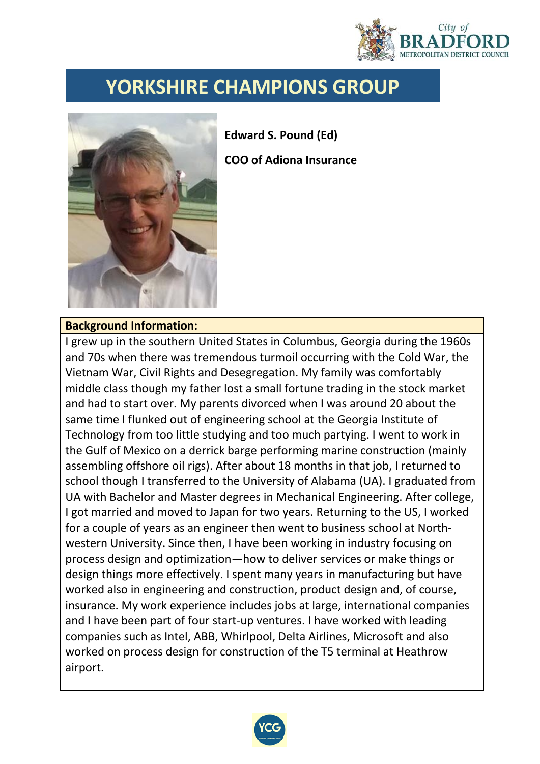

## **YORKSHIRE CHAMPIONS GROUP**



**Edward S. Pound (Ed) COO of Adiona Insurance**

## **Background Information:**

I grew up in the southern United States in Columbus, Georgia during the 1960s and 70s when there was tremendous turmoil occurring with the Cold War, the Vietnam War, Civil Rights and Desegregation. My family was comfortably middle class though my father lost a small fortune trading in the stock market and had to start over. My parents divorced when I was around 20 about the same time I flunked out of engineering school at the Georgia Institute of Technology from too little studying and too much partying. I went to work in the Gulf of Mexico on a derrick barge performing marine construction (mainly assembling offshore oil rigs). After about 18 months in that job, I returned to school though I transferred to the University of Alabama (UA). I graduated from UA with Bachelor and Master degrees in Mechanical Engineering. After college, I got married and moved to Japan for two years. Returning to the US, I worked for a couple of years as an engineer then went to business school at Northwestern University. Since then, I have been working in industry focusing on process design and optimization—how to deliver services or make things or design things more effectively. I spent many years in manufacturing but have worked also in engineering and construction, product design and, of course, insurance. My work experience includes jobs at large, international companies and I have been part of four start-up ventures. I have worked with leading companies such as Intel, ABB, Whirlpool, Delta Airlines, Microsoft and also worked on process design for construction of the T5 terminal at Heathrow airport.